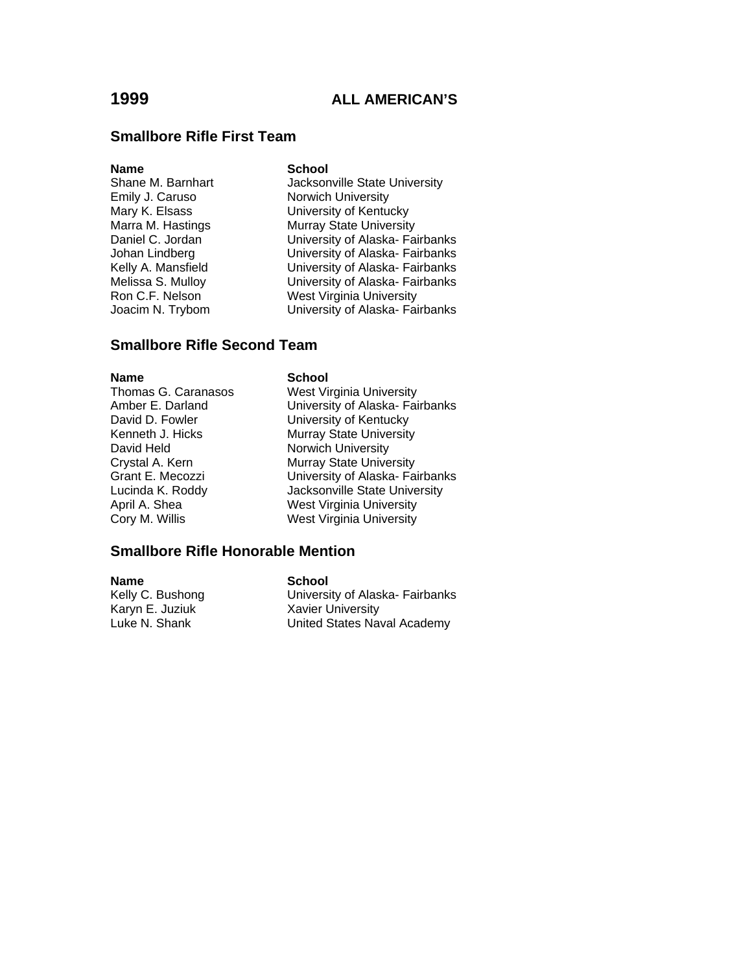### **Smallbore Rifle First Team**

**Name School**<br>
Shane M. Barnhart **Shane M. Barnhart** 

Jacksonville State University Emily J. Caruso Norwich University Mary K. Elsass<br>
Marra M. Hastings<br>
Murray State University Murray State University Daniel C. Jordan University of Alaska- Fairbanks Johan Lindberg University of Alaska- Fairbanks Kelly A. Mansfield University of Alaska- Fairbanks Melissa S. Mulloy University of Alaska- Fairbanks Ron C.F. Nelson West Virginia University<br>
Joacim N. Trybom University of Alaska-Fai University of Alaska- Fairbanks

### **Smallbore Rifle Second Team**

# **Name School**<br>Thomas G. Caranasos **School**

David Held Norwich University

West Virginia University Amber E. Darland University of Alaska- Fairbanks<br>
David D. Fowler Consumersity of Kentucky University of Kentucky Kenneth J. Hicks Murray State University Crystal A. Kern Murray State University Grant E. Mecozzi University of Alaska- Fairbanks Lucinda K. Roddy Jacksonville State University April A. Shea West Virginia University Cory M. Willis West Virginia University

#### **Smallbore Rifle Honorable Mention**

**Name School**<br> **Kelly C. Bushong C. Bushong C. Bushong** Kelly C. Bushong **Nation Communist University of Alaska- Fairbanks**<br>Karyn E. Juziuk **Nation Communist Communist Communist Communist Communist Communist Communist Communist Communi Xavier University** Luke N. Shank United States Naval Academy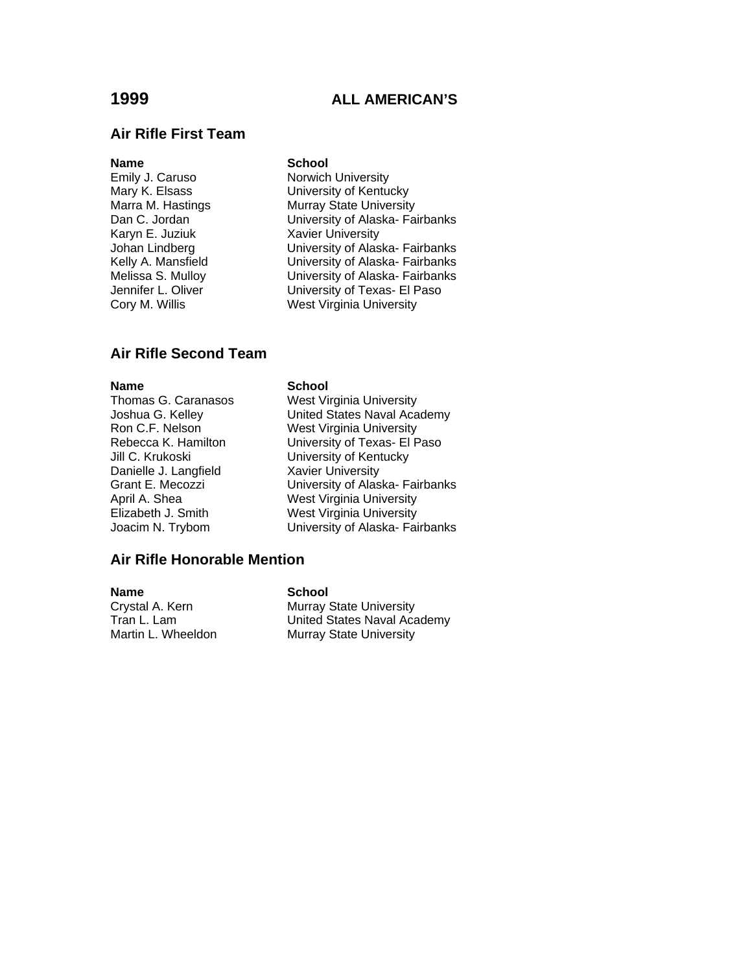#### **Air Rifle First Team**

**Name** School<br>
Emily J. Caruso **School**<br>
Norwich Karyn E. Juziuk Xavier University<br>
Johan Lindberg University of Alas

Norwich University Mary K. Elsass<br>
Mary A. Hastings<br>
Murray State University Marra M. Hastings **Murray State University**<br>
Dan C. Jordan **Multimers** University of Alaska-Fai University of Alaska- Fairbanks University of Alaska- Fairbanks Kelly A. Mansfield **University of Alaska- Fairbanks** Melissa S. Mulloy **Melissa S. Mulloy** University of Alaska- Fairbanks<br>Jennifer L. Oliver **Melissis Contains University of Texas- El Paso** Jennifer L. Oliver **University of Texas- El Paso**<br>
Cory M. Willis **Cory M. Willis** West Virginia University

### **Air Rifle Second Team**

Thomas G. Caranasos Joshua G. Kelley Ron C.F. Nelson Rebecca K. Hamilton Jill C. Krukoski Danielle J. Langfield Grant E. Mecozzi April A. Shea Elizabeth J. Smith Joacim N. Trybom

#### **Name** School

#### **Air Rifle Honorable Mention**

**Name** School

Crystal A. Kern Murray State University Tran L. Lam **Inited States Naval Academy**<br>
Murray State University Murray State University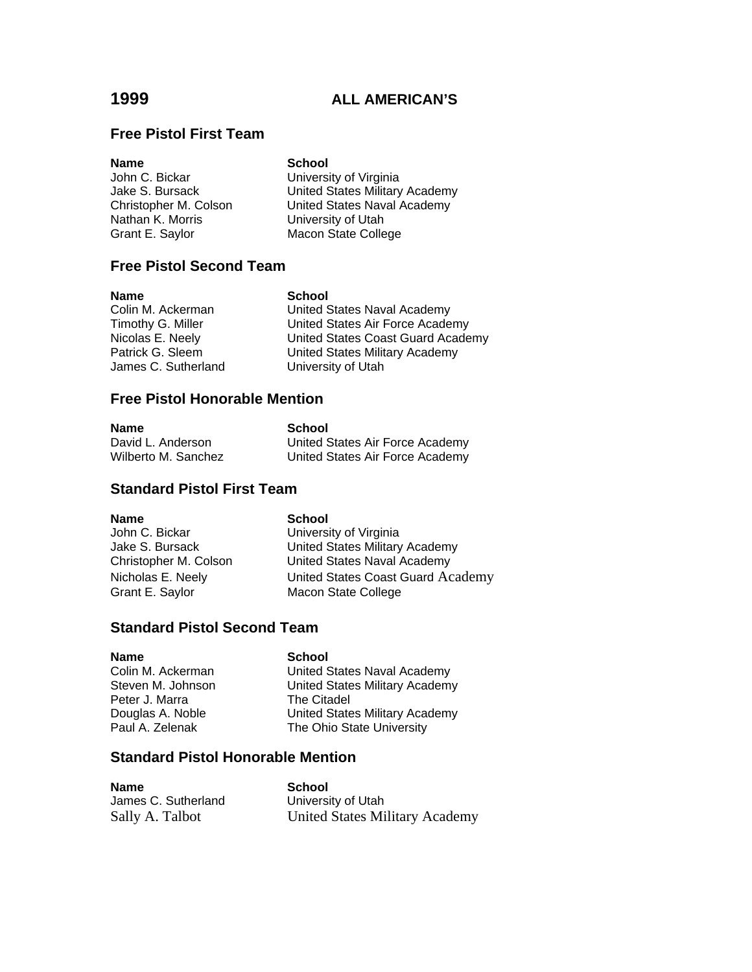### **Free Pistol First Team**

**Name**<br> **School**<br>
John C. Bickar<br> **School** Nathan K. Morris **Example 20 University of Utah** 

University of Virginia Jake S. Bursack **United States Military Academy**<br>
Christopher M. Colson **United States Naval Academy** United States Naval Academy Grant E. Saylor Macon State College

### **Free Pistol Second Team**

**Name School**<br>Colin M. Ackerman **School** 

United States Naval Academy Timothy G. Miller **Timothy G. Miller** United States Air Force Academy<br>Nicolas E. Neely **Nited States Coast Guard Acade** Nicolas E. Neely<br>
Patrick G. Sleem Coast Cunited States Military Academy<br>
United States Military Academy United States Military Academy James C. Sutherland University of Utah

### **Free Pistol Honorable Mention**

| ıam<br>٠ |  |  |
|----------|--|--|
|          |  |  |

**School** David L. Anderson **United States Air Force Academy** Wilberto M. Sanchez **United States Air Force Academy** 

### **Standard Pistol First Team**

**Name** School John C. Bickar **University of Virginia** Jake S. Bursack United States Military Academy Christopher M. Colson United States Naval Academy Nicholas E. Neely **United States Coast Guard Academy** Grant E. Saylor Macon State College

### **Standard Pistol Second Team**

Peter J. Marra The Citadel

**Name** School Colin M. Ackerman United States Naval Academy Steven M. Johnson United States Military Academy Douglas A. Noble **United States Military Academy**<br>
Paul A. Zelenak **B. The Ohio State University** The Ohio State University

### **Standard Pistol Honorable Mention**

| <b>Name</b>         | School                         |
|---------------------|--------------------------------|
| James C. Sutherland | University of Utah             |
| Sally A. Talbot     | United States Military Academy |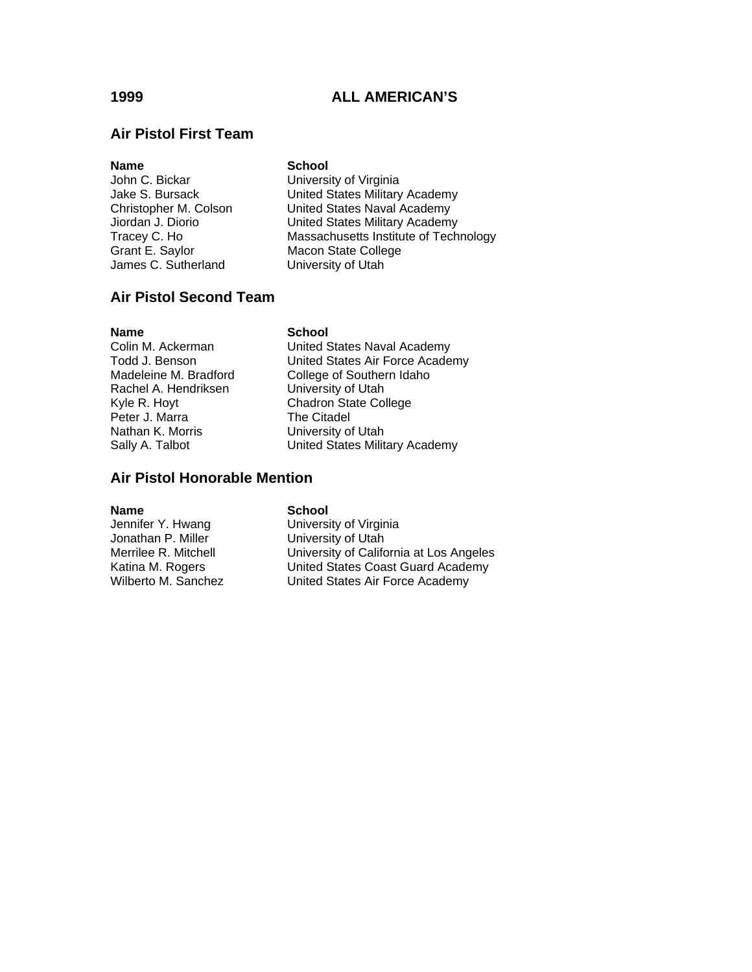### **Air Pistol First Team**

# **Name** School<br>John C. Bickar **School** James C. Sutherland

University of Virginia Jake S. Bursack United States Military Academy Christopher M. Colson United States Naval Academy<br>Jiordan J. Diorio United States Military Academy United States Military Academy Tracey C. Ho Massachusetts Institute of Technology<br>
Grant E. Saylor Macon State College Macon State College<br>University of Utah

### **Air Pistol Second Team**

**Name School**<br>Colin M. Ackerman **School** Rachel A. Hendriksen University of Utah Peter J. Marra The Citadel Nathan K. Morris **University of Utah** 

United States Naval Academy Todd J. Benson **Dited States Air Force Academy**<br>Madeleine M. Bradford College of Southern Idaho College of Southern Idaho Kyle R. Hoyt Chadron State College Sally A. Talbot United States Military Academy

### **Air Pistol Honorable Mention**

#### **Name** School

Jonathan P. Miller **University of Utah** 

Jennifer Y. Hwang University of Virginia Merrilee R. Mitchell University of California at Los Angeles Katina M. Rogers United States Coast Guard Academy Wilberto M. Sanchez **United States Air Force Academy**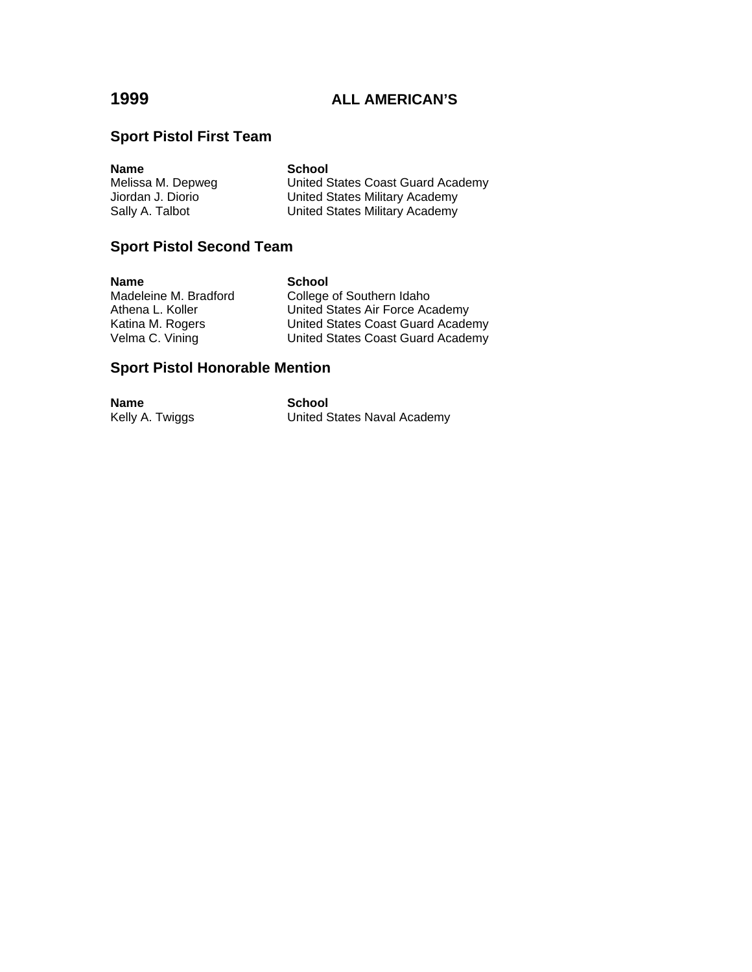# **Sport Pistol First Team**

| <b>Name</b>       | <b>School</b>                     |
|-------------------|-----------------------------------|
| Melissa M. Depweg | United States Coast Guard Academy |
| Jiordan J. Diorio | United States Military Academy    |
| Sally A. Talbot   | United States Military Academy    |

# **Sport Pistol Second Team**

| <b>Name</b>           | <b>School</b>                     |
|-----------------------|-----------------------------------|
| Madeleine M. Bradford | College of Southern Idaho         |
| Athena L. Koller      | United States Air Force Academy   |
| Katina M. Rogers      | United States Coast Guard Academy |
| Velma C. Vining       | United States Coast Guard Academy |

# **Sport Pistol Honorable Mention**

| <b>Name</b>     | School                      |
|-----------------|-----------------------------|
| Kelly A. Twiggs | United States Naval Academy |